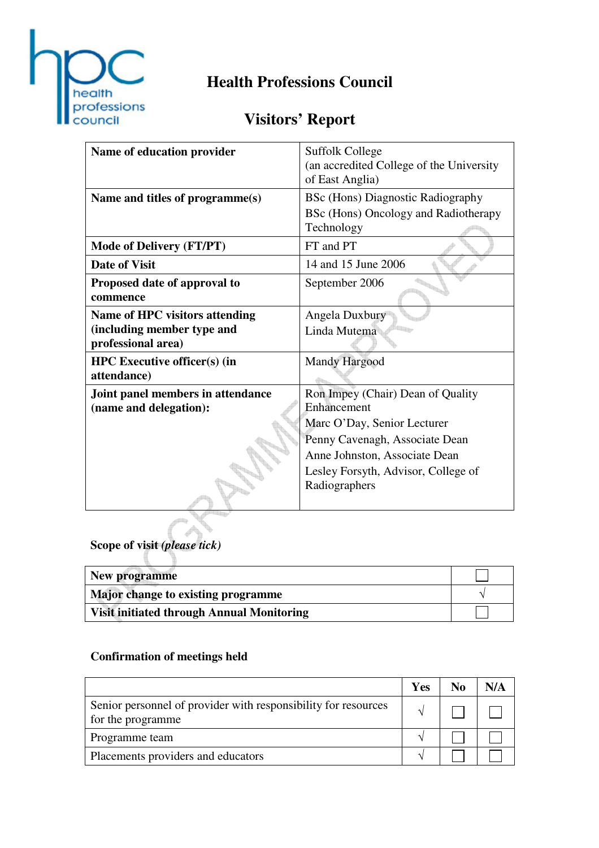

# **Health Professions Council**

## **Visitors' Report**

| Name of education provider                                                                | <b>Suffolk College</b><br>(an accredited College of the University)<br>of East Anglia)                                                                                                                     |
|-------------------------------------------------------------------------------------------|------------------------------------------------------------------------------------------------------------------------------------------------------------------------------------------------------------|
| Name and titles of programme(s)                                                           | <b>BSc (Hons) Diagnostic Radiography</b><br>BSc (Hons) Oncology and Radiotherapy<br>Technology                                                                                                             |
| <b>Mode of Delivery (FT/PT)</b>                                                           | FT and PT                                                                                                                                                                                                  |
| <b>Date of Visit</b>                                                                      | 14 and 15 June 2006                                                                                                                                                                                        |
| Proposed date of approval to<br>commence                                                  | September 2006                                                                                                                                                                                             |
| <b>Name of HPC visitors attending</b><br>(including member type and<br>professional area) | Angela Duxbury<br>Linda Mutema                                                                                                                                                                             |
| <b>HPC</b> Executive officer(s) (in<br>attendance)                                        | <b>Mandy Hargood</b>                                                                                                                                                                                       |
| Joint panel members in attendance<br>(name and delegation):                               | Ron Impey (Chair) Dean of Quality<br>Enhancement<br>Marc O'Day, Senior Lecturer<br>Penny Cavenagh, Associate Dean<br>Anne Johnston, Associate Dean<br>Lesley Forsyth, Advisor, College of<br>Radiographers |

**Scope of visit** *(please tick)*

| New programme                                    |  |
|--------------------------------------------------|--|
| Major change to existing programme               |  |
| <b>Visit initiated through Annual Monitoring</b> |  |

### **Confirmation of meetings held**

|                                                                                     | Yes | N <sub>0</sub> | N/A |
|-------------------------------------------------------------------------------------|-----|----------------|-----|
| Senior personnel of provider with responsibility for resources<br>for the programme |     |                |     |
| Programme team                                                                      |     |                |     |
| Placements providers and educators                                                  |     |                |     |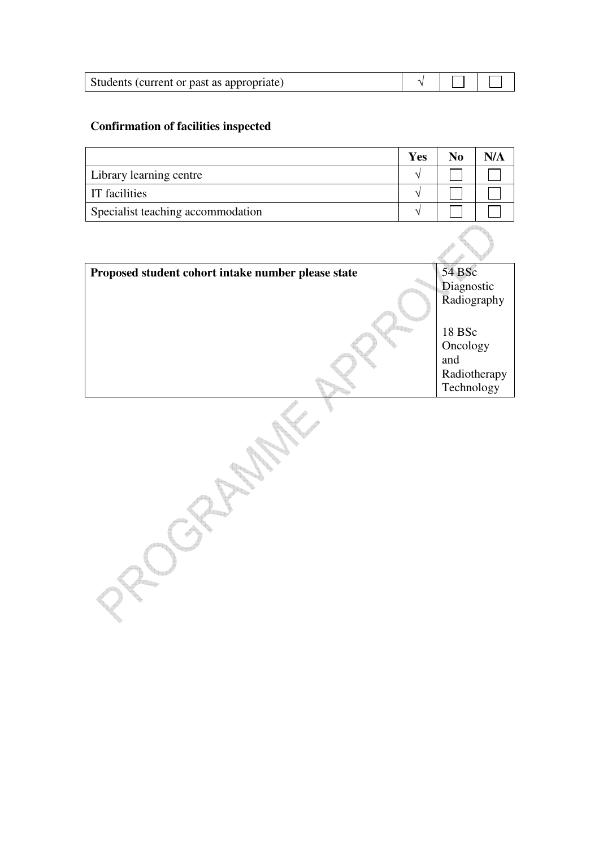| Students (current or past as appropriate) |  |  |  |
|-------------------------------------------|--|--|--|
|-------------------------------------------|--|--|--|

#### **Confirmation of facilities inspected**

|                                   | Yes | No | N/A |
|-----------------------------------|-----|----|-----|
| Library learning centre           |     |    |     |
| IT facilities                     |     |    |     |
| Specialist teaching accommodation |     |    |     |

| Proposed student cohort intake number please state | 54 BSc       |
|----------------------------------------------------|--------------|
|                                                    | Diagnostic   |
|                                                    | Radiography  |
|                                                    |              |
|                                                    | 18 BSc       |
|                                                    | Oncology     |
|                                                    | and          |
|                                                    | Radiotherapy |
|                                                    | Technology   |
|                                                    |              |
|                                                    |              |
|                                                    |              |
|                                                    |              |
|                                                    |              |
|                                                    |              |
|                                                    |              |
|                                                    |              |
|                                                    |              |
|                                                    |              |
|                                                    |              |
|                                                    |              |
|                                                    |              |
|                                                    |              |
|                                                    |              |
|                                                    |              |
|                                                    |              |
|                                                    |              |
|                                                    |              |
|                                                    |              |